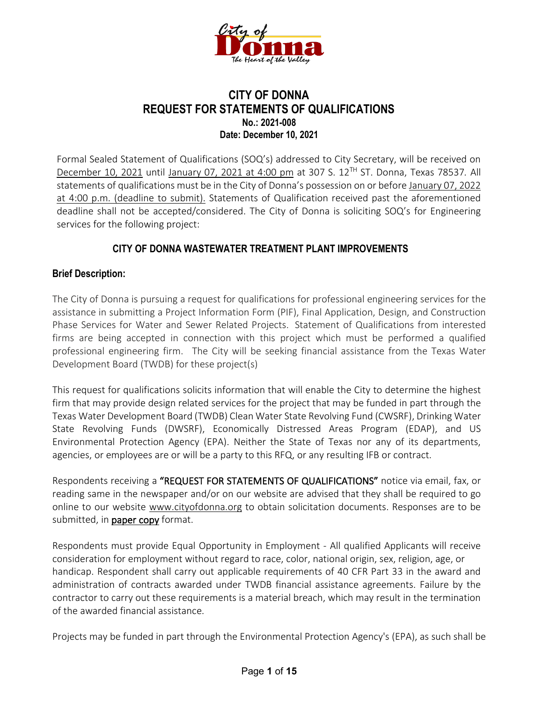

#### **CITY OF DONNA REQUEST FOR STATEMENTS OF QUALIFICATIONS No.: 2021-008 Date: December 10, 2021**

Formal Sealed Statement of Qualifications (SOQ's) addressed to City Secretary, will be received on December 10, 2021 until January 07, 2021 at 4:00 pm at 307 S. 12TH ST. Donna, Texas 78537*.* All statements of qualifications must be in the City of Donna's possession on or before January 07, 2022 at 4:00 p.m. (deadline to submit). Statements of Qualification received past the aforementioned deadline shall not be accepted/considered. The City of Donna is soliciting SOQ's for Engineering services for the following project:

#### **CITY OF DONNA WASTEWATER TREATMENT PLANT IMPROVEMENTS**

#### **Brief Description:**

The City of Donna is pursuing a request for qualifications for professional engineering services for the assistance in submitting a Project Information Form (PIF), Final Application, Design, and Construction Phase Services for Water and Sewer Related Projects. Statement of Qualifications from interested firms are being accepted in connection with this project which must be performed a qualified professional engineering firm. The City will be seeking financial assistance from the Texas Water Development Board (TWDB) for these project(s)

This request for qualifications solicits information that will enable the City to determine the highest firm that may provide design related services for the project that may be funded in part through the Texas Water Development Board (TWDB) Clean Water State Revolving Fund (CWSRF), Drinking Water State Revolving Funds (DWSRF), Economically Distressed Areas Program (EDAP), and US Environmental Protection Agency (EPA). Neither the State of Texas nor any of its departments, agencies, or employees are or will be a party to this RFQ, or any resulting IFB or contract.

Respondents receiving a "REQUEST FOR STATEMENTS OF QUALIFICATIONS" notice via email, fax, or reading same in the newspaper and/or on our website are advised that they shall be required to go online to our website www.cityofdonna.org to obtain solicitation documents. Responses are to be submitted, in paper copy format.

Respondents must provide Equal Opportunity in Employment - All qualified Applicants will receive consideration for employment without regard to race, color, national origin, sex, religion, age, or handicap. Respondent shall carry out applicable requirements of 40 CFR Part 33 in the award and administration of contracts awarded under TWDB financial assistance agreements. Failure by the contractor to carry out these requirements is a material breach, which may result in the termination of the awarded financial assistance.

Projects may be funded in part through the Environmental Protection Agency's (EPA), as such shall be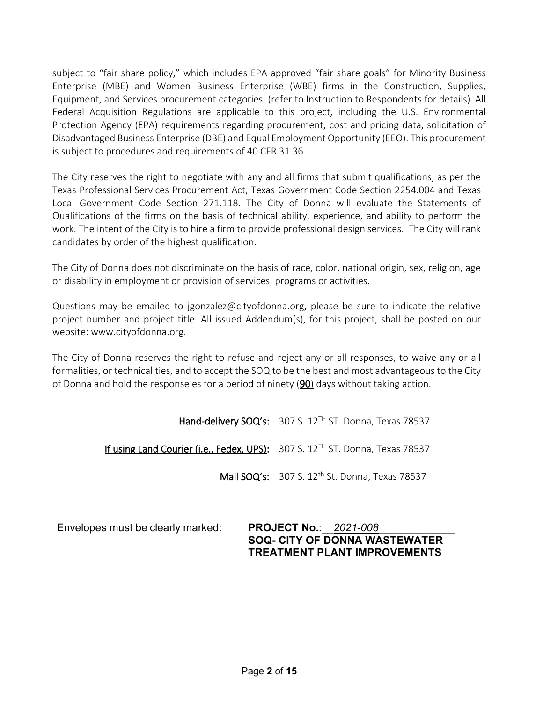subject to "fair share policy," which includes EPA approved "fair share goals" for Minority Business Enterprise (MBE) and Women Business Enterprise (WBE) firms in the Construction, Supplies, Equipment, and Services procurement categories. (refer to Instruction to Respondents for details). All Federal Acquisition Regulations are applicable to this project, including the U.S. Environmental Protection Agency (EPA) requirements regarding procurement, cost and pricing data, solicitation of Disadvantaged Business Enterprise (DBE) and Equal Employment Opportunity (EEO). This procurement is subject to procedures and requirements of 40 CFR 31.36.

The City reserves the right to negotiate with any and all firms that submit qualifications, as per the Texas Professional Services Procurement Act, Texas Government Code Section 2254.004 and Texas Local Government Code Section 271.118. The City of Donna will evaluate the Statements of Qualifications of the firms on the basis of technical ability, experience, and ability to perform the work. The intent of the City is to hire a firm to provide professional design services. The City will rank candidates by order of the highest qualification.

The City of Donna does not discriminate on the basis of race, color, national origin, sex, religion, age or disability in employment or provision of services, programs or activities.

[Questions may be emailed to jgonzalez@cityofdonna.org,](mailto:Questions%20may%20be%20emailed%20to%20jgonzalez@cityofdonna.org,) please be sure to indicate the relative project number and project title. All issued Addendum(s), for this project, shall be posted on our website: www.cityofdonna.org.

The City of Donna reserves the right to refuse and reject any or all responses, to waive any or all formalities, or technicalities, and to accept the SOQ to be the best and most advantageous to the City of Donna and hold the response es for a period of ninety (90) days without taking action.

Hand-delivery SOQ's: 307 S. 12<sup>TH</sup> ST. Donna, Texas 78537

If using Land Courier (i.e., Fedex, UPS): 307 S. 12<sup>TH</sup> ST. Donna, Texas 78537

Mail SOQ's: 307 S. 12<sup>th</sup> St. Donna, Texas 78537

Envelopes must be clearly marked: **PROJECT No.**:\_\_*2021-008*\_\_\_\_\_\_\_\_\_\_\_\_\_

**SOQ- CITY OF DONNA WASTEWATER TREATMENT PLANT IMPROVEMENTS**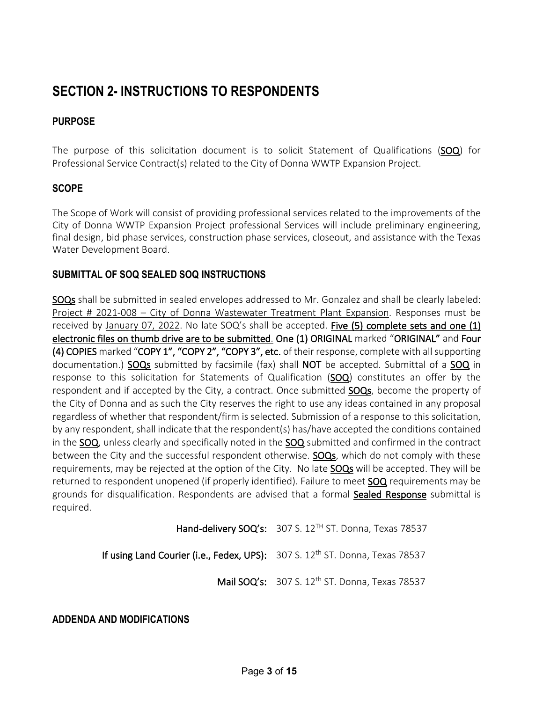# **SECTION 2- INSTRUCTIONS TO RESPONDENTS**

#### **PURPOSE**

The purpose of this solicitation document is to solicit Statement of Qualifications (SOQ) for Professional Service Contract(s) related to the City of Donna WWTP Expansion Project.

#### **SCOPE**

The Scope of Work will consist of providing professional services related to the improvements of the City of Donna WWTP Expansion Project professional Services will include preliminary engineering, final design, bid phase services, construction phase services, closeout, and assistance with the Texas Water Development Board.

#### **SUBMITTAL OF SOQ SEALED SOQ INSTRUCTIONS**

SOQs shall be submitted in sealed envelopes addressed to Mr. Gonzalez and shall be clearly labeled: Project # 2021-008 – City of Donna Wastewater Treatment Plant Expansion. Responses must be received by January 07, 2022. No late  $SOQ's$  shall be accepted. Five (5) complete sets and one (1) electronic files on thumb drive are to be submitted. One (1) ORIGINAL marked "ORIGINAL" and Four (4) COPIES marked "COPY 1", "COPY 2", "COPY 3", etc. of their response, complete with all supporting documentation.) SOQs submitted by facsimile (fax) shall NOT be accepted. Submittal of a SOQ in response to this solicitation for Statements of Qualification (SOQ) constitutes an offer by the respondent and if accepted by the City, a contract. Once submitted **SOQs**, become the property of the City of Donna and as such the City reserves the right to use any ideas contained in any proposal regardless of whether that respondent/firm is selected. Submission of a response to this solicitation, by any respondent, shall indicate that the respondent(s) has/have accepted the conditions contained in the SOQ, unless clearly and specifically noted in the SOQ submitted and confirmed in the contract between the City and the successful respondent otherwise. **SOQs**, which do not comply with these requirements, may be rejected at the option of the City. No late **SOQs** will be accepted. They will be returned to respondent unopened (if properly identified). Failure to meet **SOQ** requirements may be grounds for disqualification. Respondents are advised that a formal Sealed Response submittal is required.

Hand-delivery SOQ's: 307 S. 12<sup>TH</sup> ST. Donna, Texas 78537

If using Land Courier (i.e., Fedex, UPS): 307 S. 12<sup>th</sup> ST. Donna, Texas 78537

Mail SOQ's: 307 S. 12<sup>th</sup> ST. Donna, Texas 78537

**ADDENDA AND MODIFICATIONS**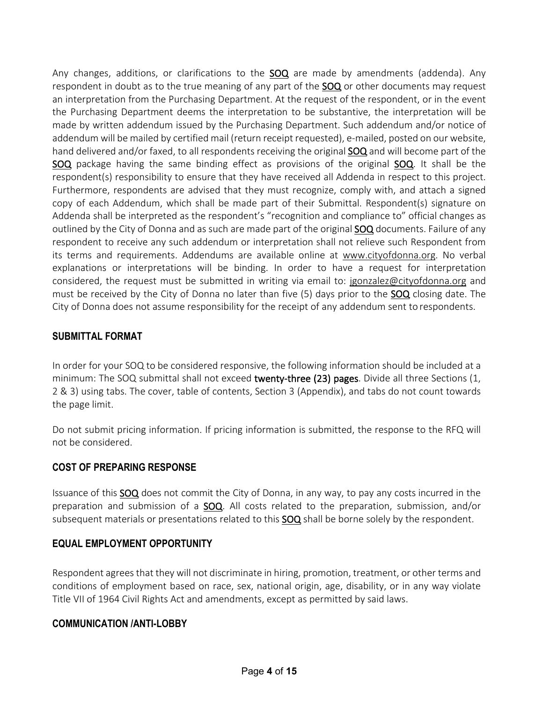Any changes, additions, or clarifications to the **SOQ** are made by amendments (addenda). Any respondent in doubt as to the true meaning of any part of the **SOQ** or other documents may request an interpretation from the Purchasing Department. At the request of the respondent, or in the event the Purchasing Department deems the interpretation to be substantive, the interpretation will be made by written addendum issued by the Purchasing Department. Such addendum and/or notice of addendum will be mailed by certified mail (return receipt requested), e-mailed, posted on our website, hand delivered and/or faxed, to all respondents receiving the original **SOQ** and will become part of the SOQ package having the same binding effect as provisions of the original SOQ. It shall be the respondent(s) responsibility to ensure that they have received all Addenda in respect to this project. Furthermore, respondents are advised that they must recognize, comply with, and attach a signed copy of each Addendum, which shall be made part of their Submittal. Respondent(s) signature on Addenda shall be interpreted as the respondent's "recognition and compliance to" official changes as outlined by the City of Donna and as such are made part of the original **SOQ** documents. Failure of any respondent to receive any such addendum or interpretation shall not relieve such Respondent from its terms and requirements. Addendums are available online at www.cityofdonna.org. No verbal explanations or interpretations will be binding. In order to have a request for interpretation considered, the request must be submitted in writing via email to: jgonzalez@cityofdonna.org and must be received by the City of Donna no later than five (5) days prior to the **SOQ** closing date. The City of Donna does not assume responsibility for the receipt of any addendum sent to respondents.

#### **SUBMITTAL FORMAT**

In order for your SOQ to be considered responsive, the following information should be included at a minimum: The SOQ submittal shall not exceed **twenty-three (23) pages**. Divide all three Sections (1, 2 & 3) using tabs. The cover, table of contents, Section 3 (Appendix), and tabs do not count towards the page limit.

Do not submit pricing information. If pricing information is submitted, the response to the RFQ will not be considered.

#### **COST OF PREPARING RESPONSE**

Issuance of this SOQ does not commit the City of Donna, in any way, to pay any costs incurred in the preparation and submission of a **SOQ**. All costs related to the preparation, submission, and/or subsequent materials or presentations related to this **SOQ** shall be borne solely by the respondent.

#### **EQUAL EMPLOYMENT OPPORTUNITY**

Respondent agrees that they will not discriminate in hiring, promotion, treatment, or other terms and conditions of employment based on race, sex, national origin, age, disability, or in any way violate Title VII of 1964 Civil Rights Act and amendments, except as permitted by said laws.

#### **COMMUNICATION /ANTI-LOBBY**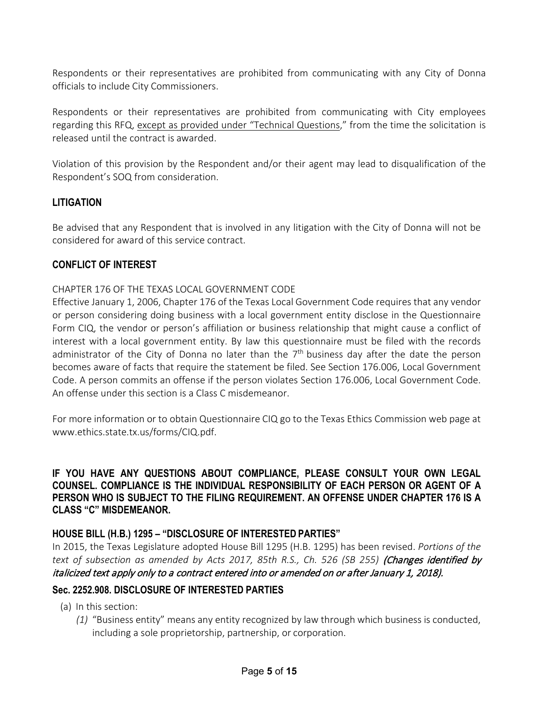Respondents or their representatives are prohibited from communicating with any City of Donna officials to include City Commissioners.

Respondents or their representatives are prohibited from communicating with City employees regarding this RFQ, except as provided under "Technical Questions," from the time the solicitation is released until the contract is awarded.

Violation of this provision by the Respondent and/or their agent may lead to disqualification of the Respondent's SOQ from consideration.

#### **LITIGATION**

Be advised that any Respondent that is involved in any litigation with the City of Donna will not be considered for award of this service contract.

#### **CONFLICT OF INTEREST**

#### CHAPTER 176 OF THE TEXAS LOCAL GOVERNMENT CODE

Effective January 1, 2006, Chapter 176 of the Texas Local Government Code requires that any vendor or person considering doing business with a local government entity disclose in the Questionnaire Form CIQ, the vendor or person's affiliation or business relationship that might cause a conflict of interest with a local government entity. By law this questionnaire must be filed with the records administrator of the City of Donna no later than the  $7<sup>th</sup>$  business day after the date the person becomes aware of facts that require the statement be filed. See Section 176.006, Local Government Code. A person commits an offense if the person violates Section 176.006, Local Government Code. An offense under this section is a Class C misdemeanor.

For more information or to obtain Questionnaire CIQ go to the Texas Ethics Commission web page at www.ethics.state.tx.us/forms/CIQ.pdf.

#### **IF YOU HAVE ANY QUESTIONS ABOUT COMPLIANCE, PLEASE CONSULT YOUR OWN LEGAL COUNSEL. COMPLIANCE IS THE INDIVIDUAL RESPONSIBILITY OF EACH PERSON OR AGENT OF A PERSON WHO IS SUBJECT TO THE FILING REQUIREMENT. AN OFFENSE UNDER CHAPTER 176 IS A CLASS "C" MISDEMEANOR.**

#### **HOUSE BILL (H.B.) 1295 – "DISCLOSURE OF INTERESTED PARTIES"**

In 2015, the Texas Legislature adopted House Bill 1295 (H.B. 1295) has been revised. *Portions of the*  text of subsection as amended by Acts 2017, 85th R.S., Ch. 526 (SB 255) **(Changes identified by** italicized text apply only to a contract entered into or amended on or after January 1, 2018).

#### **Sec. 2252.908. DISCLOSURE OF INTERESTED PARTIES**

- (a) In this section:
	- *(1)* "Business entity" means any entity recognized by law through which business is conducted, including a sole proprietorship, partnership, or corporation.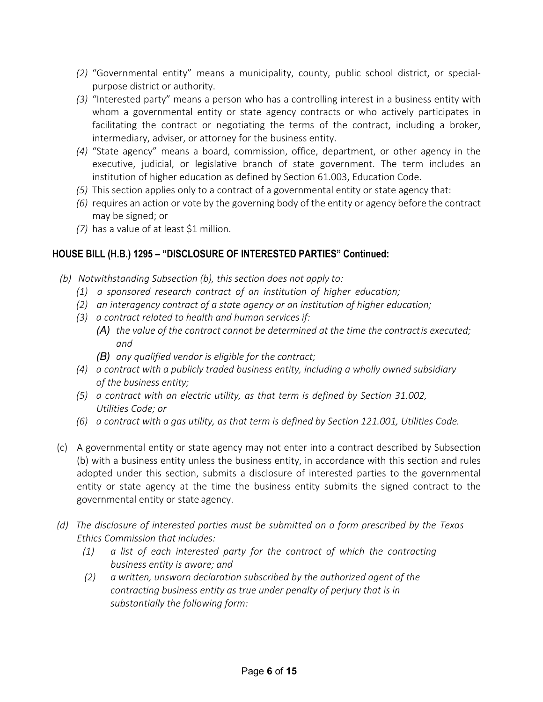- *(2)* "Governmental entity" means a municipality, county, public school district, or specialpurpose district or authority.
- *(3)* "Interested party" means a person who has a controlling interest in a business entity with whom a governmental entity or state agency contracts or who actively participates in facilitating the contract or negotiating the terms of the contract, including a broker, intermediary, adviser, or attorney for the business entity.
- *(4)* "State agency" means a board, commission, office, department, or other agency in the executive, judicial, or legislative branch of state government. The term includes an institution of higher education as defined by Section 61.003, Education Code.
- *(5)* This section applies only to a contract of a governmental entity or state agency that:
- *(6)* requires an action or vote by the governing body of the entity or agency before the contract may be signed; or
- *(7)* has a value of at least \$1 million.

#### **HOUSE BILL (H.B.) 1295 – "DISCLOSURE OF INTERESTED PARTIES" Continued:**

- *(b) Notwithstanding Subsection (b), this section does not apply to:*
	- *(1) a sponsored research contract of an institution of higher education;*
	- *(2) an interagency contract of a state agency or an institution of higher education;*
	- *(3) a contract related to health and human services if:*
		- *(A) the value of the contract cannot be determined at the time the contractis executed; and*
			- *(B) any qualified vendor is eligible for the contract;*
	- *(4) a contract with a publicly traded business entity, including a wholly owned subsidiary of the business entity;*
	- *(5) a contract with an electric utility, as that term is defined by Section 31.002, Utilities Code; or*
	- *(6) a contract with a gas utility, as that term is defined by Section 121.001, Utilities Code.*
- (c) A governmental entity or state agency may not enter into a contract described by Subsection (b) with a business entity unless the business entity, in accordance with this section and rules adopted under this section, submits a disclosure of interested parties to the governmental entity or state agency at the time the business entity submits the signed contract to the governmental entity or state agency.
- *(d) The disclosure of interested parties must be submitted on a form prescribed by the Texas Ethics Commission that includes:*
	- *(1) a list of each interested party for the contract of which the contracting business entity is aware; and*
	- *(2) a written, unsworn declaration subscribed by the authorized agent of the contracting business entity as true under penalty of perjury that is in substantially the following form:*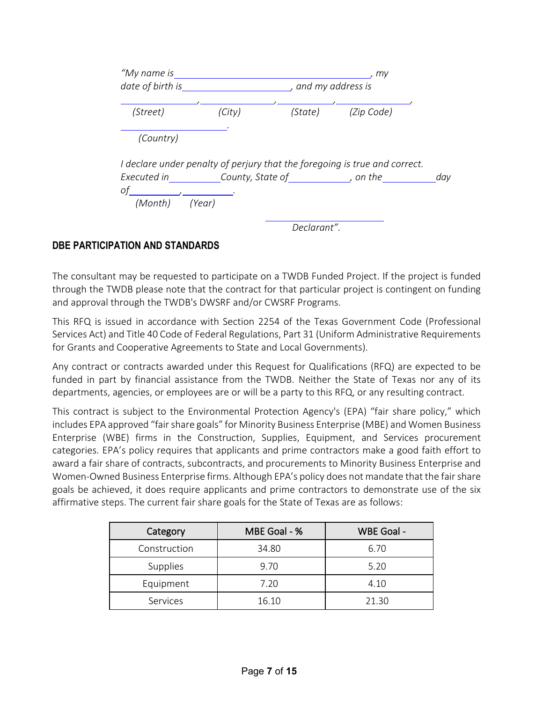| "My name is                                                                        | my                |             |            |     |
|------------------------------------------------------------------------------------|-------------------|-------------|------------|-----|
| date of birth is                                                                   | and my address is |             |            |     |
| (Street)                                                                           | (City)            | (State)     | (Zip Code) |     |
| (Country)                                                                          |                   |             |            |     |
| I declare under penalty of perjury that the foregoing is true and correct.         |                   |             |            |     |
| Executed in County, State of the control on the<br>of , $\qquad \qquad$<br>(Month) | (Year)            |             |            | day |
|                                                                                    |                   | Declarant". |            |     |

#### **DBE PARTICIPATION AND STANDARDS**

The consultant may be requested to participate on a TWDB Funded Project. If the project is funded through the TWDB please note that the contract for that particular project is contingent on funding and approval through the TWDB's DWSRF and/or CWSRF Programs.

This RFQ is issued in accordance with Section 2254 of the Texas Government Code (Professional Services Act) and Title 40 Code of Federal Regulations, Part 31 (Uniform Administrative Requirements for Grants and Cooperative Agreements to State and Local Governments).

Any contract or contracts awarded under this Request for Qualifications (RFQ) are expected to be funded in part by financial assistance from the TWDB. Neither the State of Texas nor any of its departments, agencies, or employees are or will be a party to this RFQ, or any resulting contract.

This contract is subject to the Environmental Protection Agency's (EPA) "fair share policy," which includes EPA approved "fair share goals" for Minority Business Enterprise (MBE) and Women Business Enterprise (WBE) firms in the Construction, Supplies, Equipment, and Services procurement categories. EPA's policy requires that applicants and prime contractors make a good faith effort to award a fair share of contracts, subcontracts, and procurements to Minority Business Enterprise and Women-Owned Business Enterprise firms. Although EPA's policy does not mandate that the fair share goals be achieved, it does require applicants and prime contractors to demonstrate use of the six affirmative steps. The current fair share goals for the State of Texas are as follows:

| Category     | MBE Goal - % | WBE Goal - |
|--------------|--------------|------------|
| Construction | 34.80        | 6.70       |
| Supplies     | 9.70         | 5.20       |
| Equipment    | 7.20         | 4.10       |
| Services     | 16.10        | 21.30      |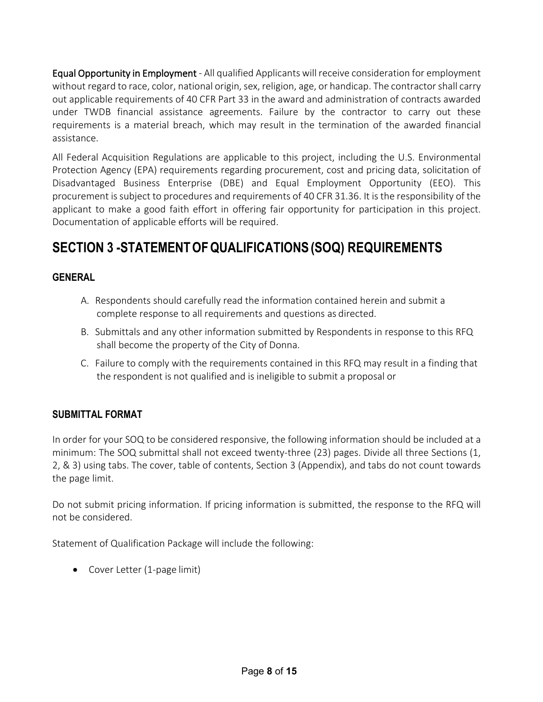Equal Opportunity in Employment - All qualified Applicants will receive consideration for employment without regard to race, color, national origin, sex, religion, age, or handicap. The contractor shall carry out applicable requirements of 40 CFR Part 33 in the award and administration of contracts awarded under TWDB financial assistance agreements. Failure by the contractor to carry out these requirements is a material breach, which may result in the termination of the awarded financial assistance.

All Federal Acquisition Regulations are applicable to this project, including the U.S. Environmental Protection Agency (EPA) requirements regarding procurement, cost and pricing data, solicitation of Disadvantaged Business Enterprise (DBE) and Equal Employment Opportunity (EEO). This procurement is subject to procedures and requirements of 40 CFR 31.36. It is the responsibility of the applicant to make a good faith effort in offering fair opportunity for participation in this project. Documentation of applicable efforts will be required.

# **SECTION 3 -STATEMENTOFQUALIFICATIONS(SOQ) REQUIREMENTS**

#### **GENERAL**

- A. Respondents should carefully read the information contained herein and submit a complete response to all requirements and questions as directed.
- B. Submittals and any other information submitted by Respondents in response to this RFQ shall become the property of the City of Donna.
- C. Failure to comply with the requirements contained in this RFQ may result in a finding that the respondent is not qualified and is ineligible to submit a proposal or

#### **SUBMITTAL FORMAT**

In order for your SOQ to be considered responsive, the following information should be included at a minimum: The SOQ submittal shall not exceed twenty-three (23) pages. Divide all three Sections (1, 2, & 3) using tabs. The cover, table of contents, Section 3 (Appendix), and tabs do not count towards the page limit.

Do not submit pricing information. If pricing information is submitted, the response to the RFQ will not be considered.

Statement of Qualification Package will include the following:

• Cover Letter (1-page limit)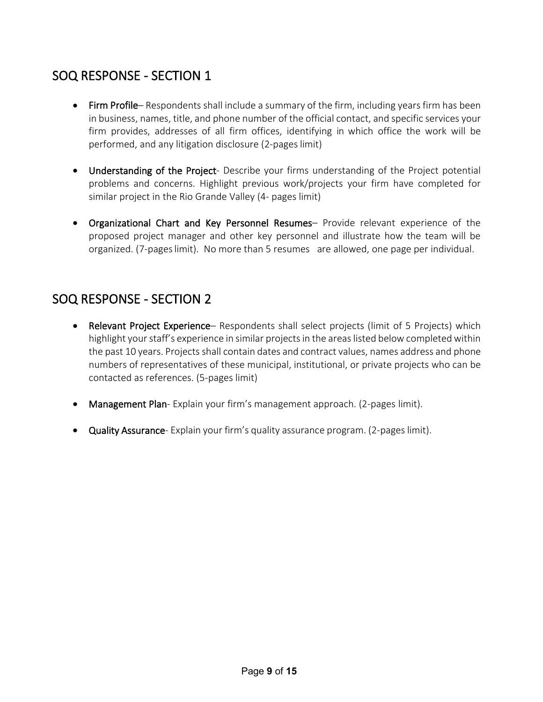# SOQ RESPONSE - SECTION 1

- Firm Profile– Respondents shall include a summary of the firm, including years firm has been in business, names, title, and phone number of the official contact, and specific services your firm provides, addresses of all firm offices, identifying in which office the work will be performed, and any litigation disclosure (2-pages limit)
- Understanding of the Project- Describe your firms understanding of the Project potential problems and concerns. Highlight previous work/projects your firm have completed for similar project in the Rio Grande Valley (4- pages limit)
- Organizational Chart and Key Personnel Resumes– Provide relevant experience of the proposed project manager and other key personnel and illustrate how the team will be organized. (7-pageslimit). No more than 5 resumes are allowed, one page per individual.

# SOQ RESPONSE - SECTION 2

- Relevant Project Experience- Respondents shall select projects (limit of 5 Projects) which highlight your staff's experience in similar projects in the areas listed below completed within the past 10 years. Projects shall contain dates and contract values, names address and phone numbers of representatives of these municipal, institutional, or private projects who can be contacted as references. (5-pages limit)
- Management Plan- Explain your firm's management approach. (2-pages limit).
- Quality Assurance- Explain your firm's quality assurance program. (2-pageslimit).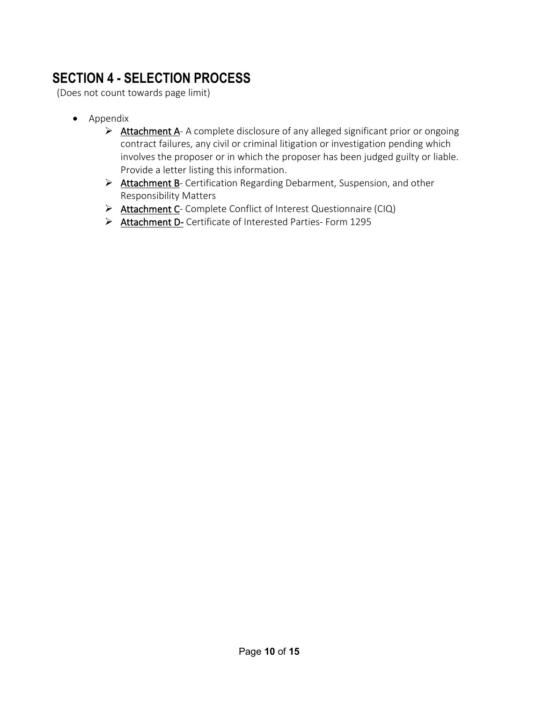# **SECTION 4 - SELECTION PROCESS**

(Does not count towards page limit)

- Appendix
	- $\triangleright$  **Attachment A-** A complete disclosure of any alleged significant prior or ongoing contract failures, any civil or criminal litigation or investigation pending which involves the proposer or in which the proposer has been judged guilty or liable. Provide a letter listing this information.
	- ▶ Attachment B- Certification Regarding Debarment, Suspension, and other Responsibility Matters
	- Attachment C- Complete Conflict of Interest Questionnaire (CIQ)
	- Attachment D- Certificate of Interested Parties- Form 1295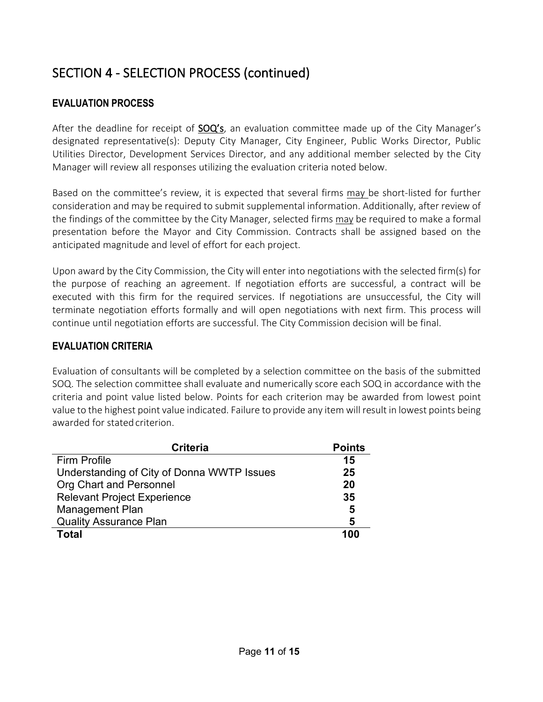# SECTION 4 - SELECTION PROCESS (continued)

## **EVALUATION PROCESS**

After the deadline for receipt of **SOQ's**, an evaluation committee made up of the City Manager's designated representative(s): Deputy City Manager, City Engineer, Public Works Director, Public Utilities Director, Development Services Director, and any additional member selected by the City Manager will review all responses utilizing the evaluation criteria noted below.

Based on the committee's review, it is expected that several firms may be short-listed for further consideration and may be required to submit supplemental information. Additionally, after review of the findings of the committee by the City Manager, selected firms may be required to make a formal presentation before the Mayor and City Commission. Contracts shall be assigned based on the anticipated magnitude and level of effort for each project.

Upon award by the City Commission, the City will enter into negotiations with the selected firm(s) for the purpose of reaching an agreement. If negotiation efforts are successful, a contract will be executed with this firm for the required services. If negotiations are unsuccessful, the City will terminate negotiation efforts formally and will open negotiations with next firm. This process will continue until negotiation efforts are successful. The City Commission decision will be final.

## **EVALUATION CRITERIA**

Evaluation of consultants will be completed by a selection committee on the basis of the submitted SOQ. The selection committee shall evaluate and numerically score each SOQ in accordance with the criteria and point value listed below. Points for each criterion may be awarded from lowest point value to the highest point value indicated. Failure to provide any item will result in lowest points being awarded for stated criterion.

| <b>Criteria</b>                            | <b>Points</b> |
|--------------------------------------------|---------------|
| <b>Firm Profile</b>                        | 15            |
| Understanding of City of Donna WWTP Issues | 25            |
| Org Chart and Personnel                    | 20            |
| <b>Relevant Project Experience</b>         | 35            |
| <b>Management Plan</b>                     | 5             |
| <b>Quality Assurance Plan</b>              | 5             |
| <b>Total</b>                               | 100           |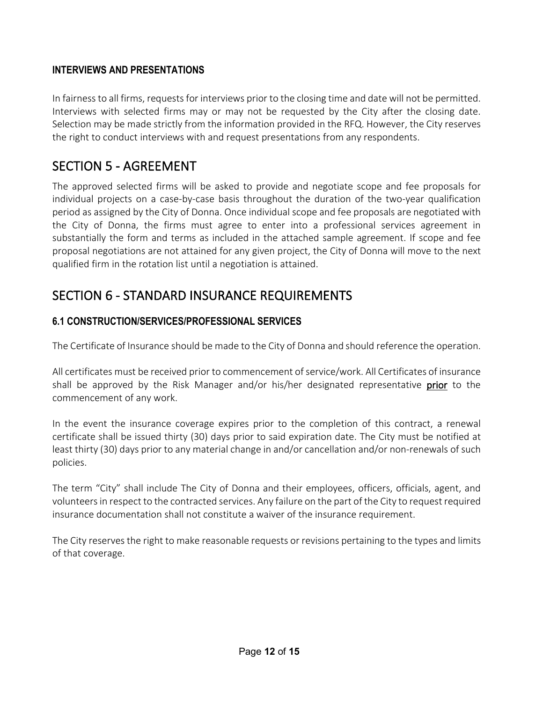## **INTERVIEWS AND PRESENTATIONS**

In fairness to all firms, requests for interviews prior to the closing time and date will not be permitted. Interviews with selected firms may or may not be requested by the City after the closing date. Selection may be made strictly from the information provided in the RFQ. However, the City reserves the right to conduct interviews with and request presentations from any respondents.

## SECTION 5 - AGREEMENT

The approved selected firms will be asked to provide and negotiate scope and fee proposals for individual projects on a case-by-case basis throughout the duration of the two-year qualification period as assigned by the City of Donna. Once individual scope and fee proposals are negotiated with the City of Donna, the firms must agree to enter into a professional services agreement in substantially the form and terms as included in the attached sample agreement. If scope and fee proposal negotiations are not attained for any given project, the City of Donna will move to the next qualified firm in the rotation list until a negotiation is attained.

# SECTION 6 - STANDARD INSURANCE REQUIREMENTS

#### **6.1 CONSTRUCTION/SERVICES/PROFESSIONAL SERVICES**

The Certificate of Insurance should be made to the City of Donna and should reference the operation.

All certificates must be received prior to commencement of service/work. All Certificates of insurance shall be approved by the Risk Manager and/or his/her designated representative prior to the commencement of any work.

In the event the insurance coverage expires prior to the completion of this contract, a renewal certificate shall be issued thirty (30) days prior to said expiration date. The City must be notified at least thirty (30) days prior to any material change in and/or cancellation and/or non-renewals of such policies.

The term "City" shall include The City of Donna and their employees, officers, officials, agent, and volunteers in respect to the contracted services. Any failure on the part of the City to request required insurance documentation shall not constitute a waiver of the insurance requirement.

The City reserves the right to make reasonable requests or revisions pertaining to the types and limits of that coverage.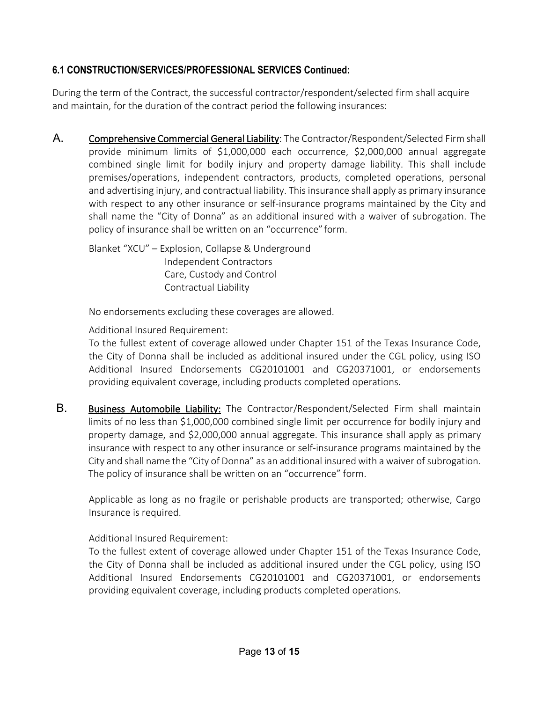## **6.1 CONSTRUCTION/SERVICES/PROFESSIONAL SERVICES Continued:**

During the term of the Contract, the successful contractor/respondent/selected firm shall acquire and maintain, for the duration of the contract period the following insurances:

A. Comprehensive Commercial General Liability: The Contractor/Respondent/Selected Firm shall provide minimum limits of \$1,000,000 each occurrence, \$2,000,000 annual aggregate combined single limit for bodily injury and property damage liability. This shall include premises/operations, independent contractors, products, completed operations, personal and advertising injury, and contractual liability. This insurance shall apply as primary insurance with respect to any other insurance or self-insurance programs maintained by the City and shall name the "City of Donna" as an additional insured with a waiver of subrogation. The policy of insurance shall be written on an "occurrence"form.

Blanket "XCU" – Explosion, Collapse & Underground Independent Contractors Care, Custody and Control Contractual Liability

No endorsements excluding these coverages are allowed.

Additional Insured Requirement:

To the fullest extent of coverage allowed under Chapter 151 of the Texas Insurance Code, the City of Donna shall be included as additional insured under the CGL policy, using ISO Additional Insured Endorsements CG20101001 and CG20371001, or endorsements providing equivalent coverage, including products completed operations.

B. Business Automobile Liability: The Contractor/Respondent/Selected Firm shall maintain limits of no less than \$1,000,000 combined single limit per occurrence for bodily injury and property damage, and \$2,000,000 annual aggregate. This insurance shall apply as primary insurance with respect to any other insurance or self-insurance programs maintained by the City and shall name the "City of Donna" as an additional insured with a waiver of subrogation. The policy of insurance shall be written on an "occurrence" form.

Applicable as long as no fragile or perishable products are transported; otherwise, Cargo Insurance is required.

Additional Insured Requirement:

To the fullest extent of coverage allowed under Chapter 151 of the Texas Insurance Code, the City of Donna shall be included as additional insured under the CGL policy, using ISO Additional Insured Endorsements CG20101001 and CG20371001, or endorsements providing equivalent coverage, including products completed operations.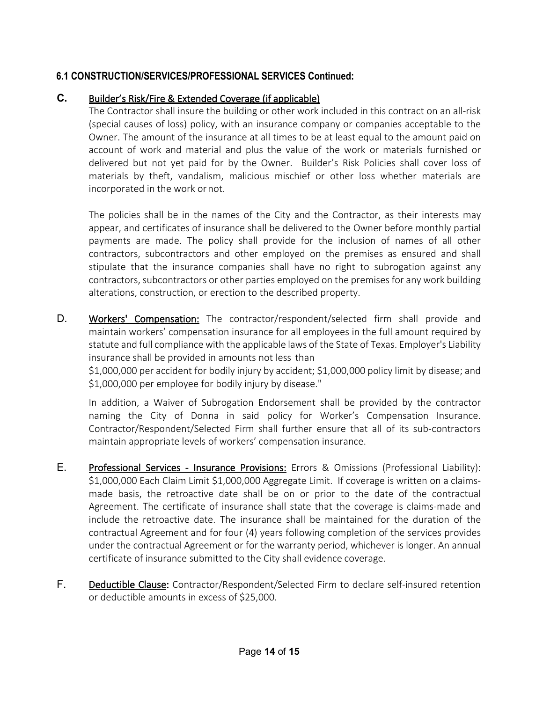## **6.1 CONSTRUCTION/SERVICES/PROFESSIONAL SERVICES Continued:**

#### **C.** Builder's Risk/Fire & Extended Coverage (if applicable)

The Contractor shall insure the building or other work included in this contract on an all-risk (special causes of loss) policy, with an insurance company or companies acceptable to the Owner. The amount of the insurance at all times to be at least equal to the amount paid on account of work and material and plus the value of the work or materials furnished or delivered but not yet paid for by the Owner. Builder's Risk Policies shall cover loss of materials by theft, vandalism, malicious mischief or other loss whether materials are incorporated in the work ornot.

The policies shall be in the names of the City and the Contractor, as their interests may appear, and certificates of insurance shall be delivered to the Owner before monthly partial payments are made. The policy shall provide for the inclusion of names of all other contractors, subcontractors and other employed on the premises as ensured and shall stipulate that the insurance companies shall have no right to subrogation against any contractors, subcontractors or other parties employed on the premises for any work building alterations, construction, or erection to the described property.

D. Workers' Compensation: The contractor/respondent/selected firm shall provide and maintain workers' compensation insurance for all employees in the full amount required by statute and full compliance with the applicable laws of the State of Texas. Employer's Liability insurance shall be provided in amounts not less than

\$1,000,000 per accident for bodily injury by accident; \$1,000,000 policy limit by disease; and \$1,000,000 per employee for bodily injury by disease."

In addition, a Waiver of Subrogation Endorsement shall be provided by the contractor naming the City of Donna in said policy for Worker's Compensation Insurance. Contractor/Respondent/Selected Firm shall further ensure that all of its sub-contractors maintain appropriate levels of workers' compensation insurance.

- E. Professional Services Insurance Provisions: Errors & Omissions (Professional Liability): \$1,000,000 Each Claim Limit \$1,000,000 Aggregate Limit. If coverage is written on a claimsmade basis, the retroactive date shall be on or prior to the date of the contractual Agreement. The certificate of insurance shall state that the coverage is claims-made and include the retroactive date. The insurance shall be maintained for the duration of the contractual Agreement and for four (4) years following completion of the services provides under the contractual Agreement or for the warranty period, whichever is longer. An annual certificate of insurance submitted to the City shall evidence coverage.
- F. Deductible Clause: Contractor/Respondent/Selected Firm to declare self-insured retention or deductible amounts in excess of \$25,000.